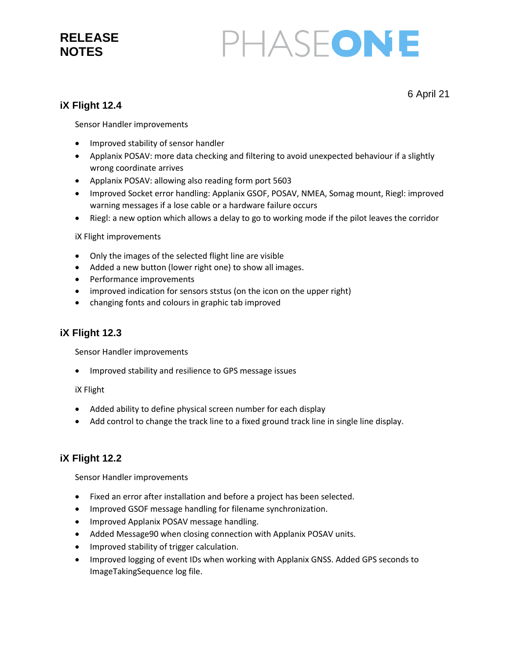### **RELEASE NOTES**

# PHASEONE

6 April 21

#### **iX Flight 12.4**

Sensor Handler improvements

- Improved stability of sensor handler
- Applanix POSAV: more data checking and filtering to avoid unexpected behaviour if a slightly wrong coordinate arrives
- Applanix POSAV: allowing also reading form port 5603
- Improved Socket error handling: Applanix GSOF, POSAV, NMEA, Somag mount, Riegl: improved warning messages if a lose cable or a hardware failure occurs
- Riegl: a new option which allows a delay to go to working mode if the pilot leaves the corridor

iX Flight improvements

- Only the images of the selected flight line are visible
- Added a new button (lower right one) to show all images.
- Performance improvements
- improved indication for sensors ststus (on the icon on the upper right)
- changing fonts and colours in graphic tab improved

#### **iX Flight 12.3**

Sensor Handler improvements

• Improved stability and resilience to GPS message issues

iX Flight

- Added ability to define physical screen number for each display
- Add control to change the track line to a fixed ground track line in single line display.

#### **iX Flight 12.2**

Sensor Handler improvements

- Fixed an error after installation and before a project has been selected.
- Improved GSOF message handling for filename synchronization.
- Improved Applanix POSAV message handling.
- Added Message90 when closing connection with Applanix POSAV units.
- Improved stability of trigger calculation.
- Improved logging of event IDs when working with Applanix GNSS. Added GPS seconds to ImageTakingSequence log file.